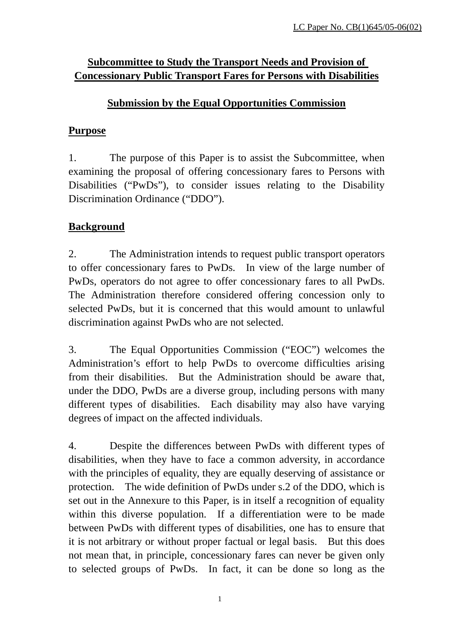# **Subcommittee to Study the Transport Needs and Provision of Concessionary Public Transport Fares for Persons with Disabilities**

# **Submission by the Equal Opportunities Commission**

# **Purpose**

1. The purpose of this Paper is to assist the Subcommittee, when examining the proposal of offering concessionary fares to Persons with Disabilities ("PwDs"), to consider issues relating to the Disability Discrimination Ordinance ("DDO").

# **Background**

2. The Administration intends to request public transport operators to offer concessionary fares to PwDs. In view of the large number of PwDs, operators do not agree to offer concessionary fares to all PwDs. The Administration therefore considered offering concession only to selected PwDs, but it is concerned that this would amount to unlawful discrimination against PwDs who are not selected.

3. The Equal Opportunities Commission ("EOC") welcomes the Administration's effort to help PwDs to overcome difficulties arising from their disabilities. But the Administration should be aware that, under the DDO, PwDs are a diverse group, including persons with many different types of disabilities. Each disability may also have varying degrees of impact on the affected individuals.

4. Despite the differences between PwDs with different types of disabilities, when they have to face a common adversity, in accordance with the principles of equality, they are equally deserving of assistance or protection. The wide definition of PwDs under s.2 of the DDO, which is set out in the Annexure to this Paper, is in itself a recognition of equality within this diverse population. If a differentiation were to be made between PwDs with different types of disabilities, one has to ensure that it is not arbitrary or without proper factual or legal basis. But this does not mean that, in principle, concessionary fares can never be given only to selected groups of PwDs. In fact, it can be done so long as the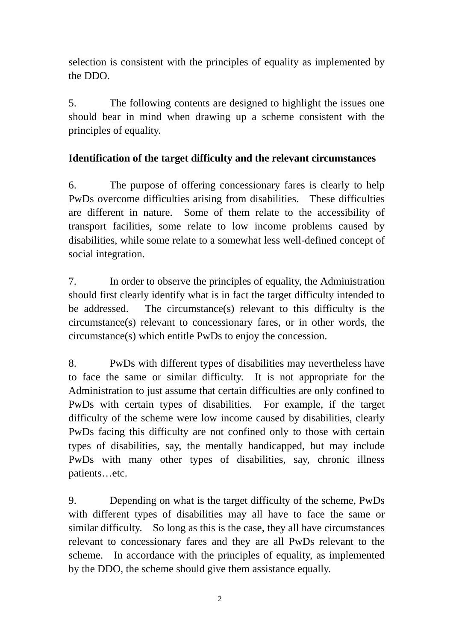selection is consistent with the principles of equality as implemented by the DDO.

5. The following contents are designed to highlight the issues one should bear in mind when drawing up a scheme consistent with the principles of equality.

# **Identification of the target difficulty and the relevant circumstances**

6. The purpose of offering concessionary fares is clearly to help PwDs overcome difficulties arising from disabilities. These difficulties are different in nature. Some of them relate to the accessibility of transport facilities, some relate to low income problems caused by disabilities, while some relate to a somewhat less well-defined concept of social integration.

7. In order to observe the principles of equality, the Administration should first clearly identify what is in fact the target difficulty intended to be addressed. The circumstance(s) relevant to this difficulty is the circumstance(s) relevant to concessionary fares, or in other words, the circumstance(s) which entitle PwDs to enjoy the concession.

8. PwDs with different types of disabilities may nevertheless have to face the same or similar difficulty. It is not appropriate for the Administration to just assume that certain difficulties are only confined to PwDs with certain types of disabilities. For example, if the target difficulty of the scheme were low income caused by disabilities, clearly PwDs facing this difficulty are not confined only to those with certain types of disabilities, say, the mentally handicapped, but may include PwDs with many other types of disabilities, say, chronic illness patients…etc.

9. Depending on what is the target difficulty of the scheme, PwDs with different types of disabilities may all have to face the same or similar difficulty. So long as this is the case, they all have circumstances relevant to concessionary fares and they are all PwDs relevant to the scheme. In accordance with the principles of equality, as implemented by the DDO, the scheme should give them assistance equally.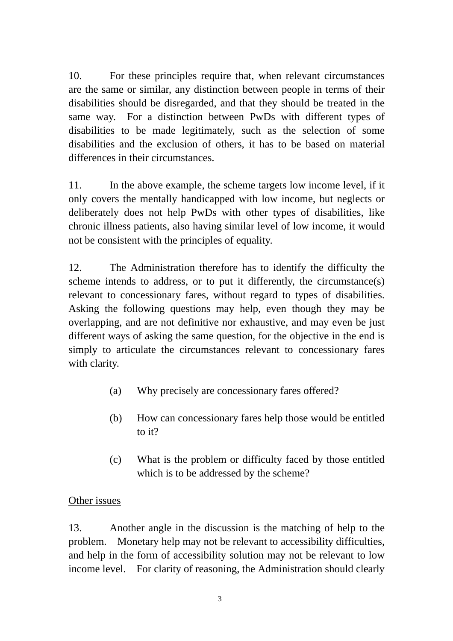10. For these principles require that, when relevant circumstances are the same or similar, any distinction between people in terms of their disabilities should be disregarded, and that they should be treated in the same way. For a distinction between PwDs with different types of disabilities to be made legitimately, such as the selection of some disabilities and the exclusion of others, it has to be based on material differences in their circumstances.

11. In the above example, the scheme targets low income level, if it only covers the mentally handicapped with low income, but neglects or deliberately does not help PwDs with other types of disabilities, like chronic illness patients, also having similar level of low income, it would not be consistent with the principles of equality.

12. The Administration therefore has to identify the difficulty the scheme intends to address, or to put it differently, the circumstance(s) relevant to concessionary fares, without regard to types of disabilities. Asking the following questions may help, even though they may be overlapping, and are not definitive nor exhaustive, and may even be just different ways of asking the same question, for the objective in the end is simply to articulate the circumstances relevant to concessionary fares with clarity.

- (a) Why precisely are concessionary fares offered?
- (b) How can concessionary fares help those would be entitled to it?
- (c) What is the problem or difficulty faced by those entitled which is to be addressed by the scheme?

### Other issues

13. Another angle in the discussion is the matching of help to the problem. Monetary help may not be relevant to accessibility difficulties, and help in the form of accessibility solution may not be relevant to low income level. For clarity of reasoning, the Administration should clearly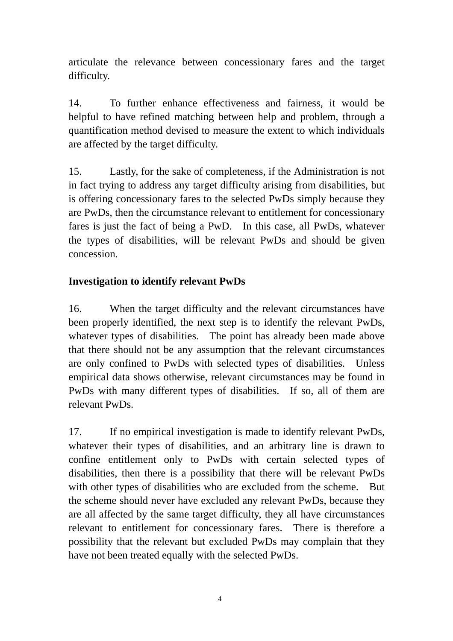articulate the relevance between concessionary fares and the target difficulty.

14. To further enhance effectiveness and fairness, it would be helpful to have refined matching between help and problem, through a quantification method devised to measure the extent to which individuals are affected by the target difficulty.

15. Lastly, for the sake of completeness, if the Administration is not in fact trying to address any target difficulty arising from disabilities, but is offering concessionary fares to the selected PwDs simply because they are PwDs, then the circumstance relevant to entitlement for concessionary fares is just the fact of being a PwD. In this case, all PwDs, whatever the types of disabilities, will be relevant PwDs and should be given concession.

# **Investigation to identify relevant PwDs**

16. When the target difficulty and the relevant circumstances have been properly identified, the next step is to identify the relevant PwDs, whatever types of disabilities. The point has already been made above that there should not be any assumption that the relevant circumstances are only confined to PwDs with selected types of disabilities. Unless empirical data shows otherwise, relevant circumstances may be found in PwDs with many different types of disabilities. If so, all of them are relevant PwDs.

17. If no empirical investigation is made to identify relevant PwDs, whatever their types of disabilities, and an arbitrary line is drawn to confine entitlement only to PwDs with certain selected types of disabilities, then there is a possibility that there will be relevant PwDs with other types of disabilities who are excluded from the scheme. But the scheme should never have excluded any relevant PwDs, because they are all affected by the same target difficulty, they all have circumstances relevant to entitlement for concessionary fares. There is therefore a possibility that the relevant but excluded PwDs may complain that they have not been treated equally with the selected PwDs.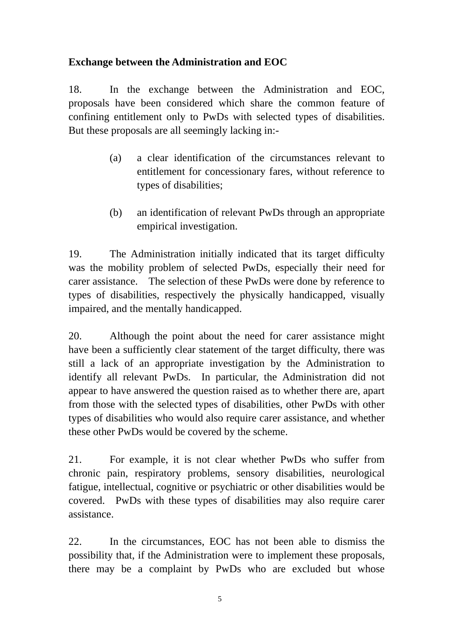# **Exchange between the Administration and EOC**

18. In the exchange between the Administration and EOC, proposals have been considered which share the common feature of confining entitlement only to PwDs with selected types of disabilities. But these proposals are all seemingly lacking in:-

- (a) a clear identification of the circumstances relevant to entitlement for concessionary fares, without reference to types of disabilities;
- (b) an identification of relevant PwDs through an appropriate empirical investigation.

19. The Administration initially indicated that its target difficulty was the mobility problem of selected PwDs, especially their need for carer assistance. The selection of these PwDs were done by reference to types of disabilities, respectively the physically handicapped, visually impaired, and the mentally handicapped.

20. Although the point about the need for carer assistance might have been a sufficiently clear statement of the target difficulty, there was still a lack of an appropriate investigation by the Administration to identify all relevant PwDs. In particular, the Administration did not appear to have answered the question raised as to whether there are, apart from those with the selected types of disabilities, other PwDs with other types of disabilities who would also require carer assistance, and whether these other PwDs would be covered by the scheme.

21. For example, it is not clear whether PwDs who suffer from chronic pain, respiratory problems, sensory disabilities, neurological fatigue, intellectual, cognitive or psychiatric or other disabilities would be covered. PwDs with these types of disabilities may also require carer assistance.

22. In the circumstances, EOC has not been able to dismiss the possibility that, if the Administration were to implement these proposals, there may be a complaint by PwDs who are excluded but whose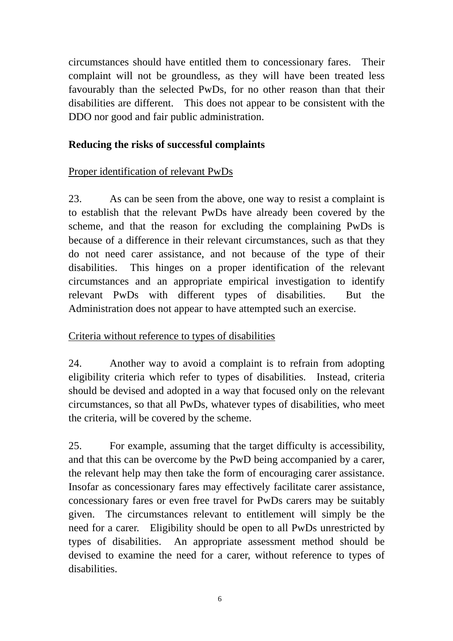circumstances should have entitled them to concessionary fares. Their complaint will not be groundless, as they will have been treated less favourably than the selected PwDs, for no other reason than that their disabilities are different. This does not appear to be consistent with the DDO nor good and fair public administration.

#### **Reducing the risks of successful complaints**

### Proper identification of relevant PwDs

23. As can be seen from the above, one way to resist a complaint is to establish that the relevant PwDs have already been covered by the scheme, and that the reason for excluding the complaining PwDs is because of a difference in their relevant circumstances, such as that they do not need carer assistance, and not because of the type of their disabilities. This hinges on a proper identification of the relevant circumstances and an appropriate empirical investigation to identify relevant PwDs with different types of disabilities. But the Administration does not appear to have attempted such an exercise.

# Criteria without reference to types of disabilities

24. Another way to avoid a complaint is to refrain from adopting eligibility criteria which refer to types of disabilities. Instead, criteria should be devised and adopted in a way that focused only on the relevant circumstances, so that all PwDs, whatever types of disabilities, who meet the criteria, will be covered by the scheme.

25. For example, assuming that the target difficulty is accessibility, and that this can be overcome by the PwD being accompanied by a carer, the relevant help may then take the form of encouraging carer assistance. Insofar as concessionary fares may effectively facilitate carer assistance, concessionary fares or even free travel for PwDs carers may be suitably given. The circumstances relevant to entitlement will simply be the need for a carer. Eligibility should be open to all PwDs unrestricted by types of disabilities. An appropriate assessment method should be devised to examine the need for a carer, without reference to types of disabilities.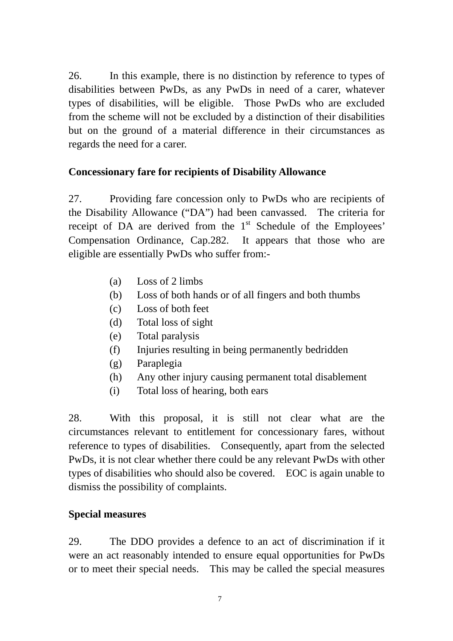26. In this example, there is no distinction by reference to types of disabilities between PwDs, as any PwDs in need of a carer, whatever types of disabilities, will be eligible. Those PwDs who are excluded from the scheme will not be excluded by a distinction of their disabilities but on the ground of a material difference in their circumstances as regards the need for a carer.

### **Concessionary fare for recipients of Disability Allowance**

27. Providing fare concession only to PwDs who are recipients of the Disability Allowance ("DA") had been canvassed. The criteria for receipt of DA are derived from the  $1<sup>st</sup>$  Schedule of the Employees' Compensation Ordinance, Cap.282. It appears that those who are eligible are essentially PwDs who suffer from:-

- (a) Loss of 2 limbs
- (b) Loss of both hands or of all fingers and both thumbs
- (c) Loss of both feet
- (d) Total loss of sight
- (e) Total paralysis
- (f) Injuries resulting in being permanently bedridden
- (g) Paraplegia
- (h) Any other injury causing permanent total disablement
- (i) Total loss of hearing, both ears

28. With this proposal, it is still not clear what are the circumstances relevant to entitlement for concessionary fares, without reference to types of disabilities. Consequently, apart from the selected PwDs, it is not clear whether there could be any relevant PwDs with other types of disabilities who should also be covered. EOC is again unable to dismiss the possibility of complaints.

# **Special measures**

29. The DDO provides a defence to an act of discrimination if it were an act reasonably intended to ensure equal opportunities for PwDs or to meet their special needs. This may be called the special measures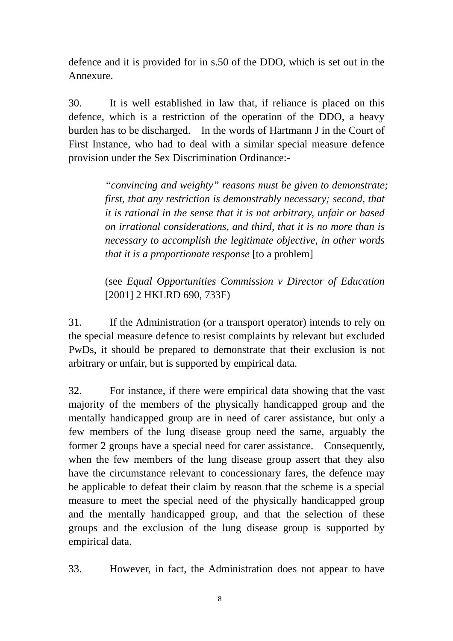defence and it is provided for in s.50 of the DDO, which is set out in the Annexure.

30. It is well established in law that, if reliance is placed on this defence, which is a restriction of the operation of the DDO, a heavy burden has to be discharged. In the words of Hartmann J in the Court of First Instance, who had to deal with a similar special measure defence provision under the Sex Discrimination Ordinance:-

> *"convincing and weighty" reasons must be given to demonstrate; first, that any restriction is demonstrably necessary; second, that it is rational in the sense that it is not arbitrary, unfair or based on irrational considerations, and third, that it is no more than is necessary to accomplish the legitimate objective, in other words that it is a proportionate response* [to a problem]

> (see *Equal Opportunities Commission v Director of Education* [2001] 2 HKLRD 690, 733F)

31. If the Administration (or a transport operator) intends to rely on the special measure defence to resist complaints by relevant but excluded PwDs, it should be prepared to demonstrate that their exclusion is not arbitrary or unfair, but is supported by empirical data.

32. For instance, if there were empirical data showing that the vast majority of the members of the physically handicapped group and the mentally handicapped group are in need of carer assistance, but only a few members of the lung disease group need the same, arguably the former 2 groups have a special need for carer assistance. Consequently, when the few members of the lung disease group assert that they also have the circumstance relevant to concessionary fares, the defence may be applicable to defeat their claim by reason that the scheme is a special measure to meet the special need of the physically handicapped group and the mentally handicapped group, and that the selection of these groups and the exclusion of the lung disease group is supported by empirical data.

33. However, in fact, the Administration does not appear to have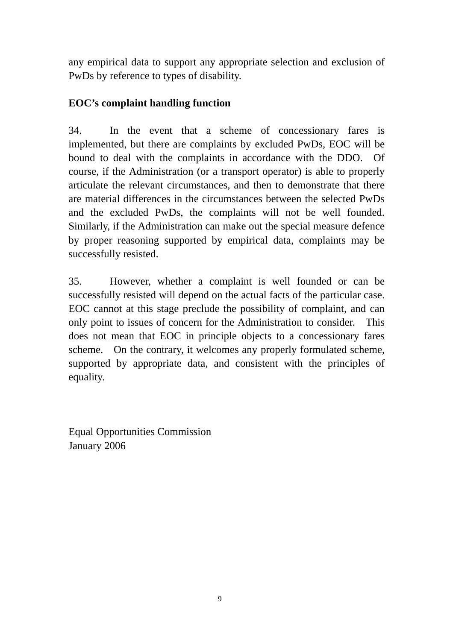any empirical data to support any appropriate selection and exclusion of PwDs by reference to types of disability.

# **EOC's complaint handling function**

34. In the event that a scheme of concessionary fares is implemented, but there are complaints by excluded PwDs, EOC will be bound to deal with the complaints in accordance with the DDO. Of course, if the Administration (or a transport operator) is able to properly articulate the relevant circumstances, and then to demonstrate that there are material differences in the circumstances between the selected PwDs and the excluded PwDs, the complaints will not be well founded. Similarly, if the Administration can make out the special measure defence by proper reasoning supported by empirical data, complaints may be successfully resisted.

35. However, whether a complaint is well founded or can be successfully resisted will depend on the actual facts of the particular case. EOC cannot at this stage preclude the possibility of complaint, and can only point to issues of concern for the Administration to consider. This does not mean that EOC in principle objects to a concessionary fares scheme. On the contrary, it welcomes any properly formulated scheme, supported by appropriate data, and consistent with the principles of equality.

Equal Opportunities Commission January 2006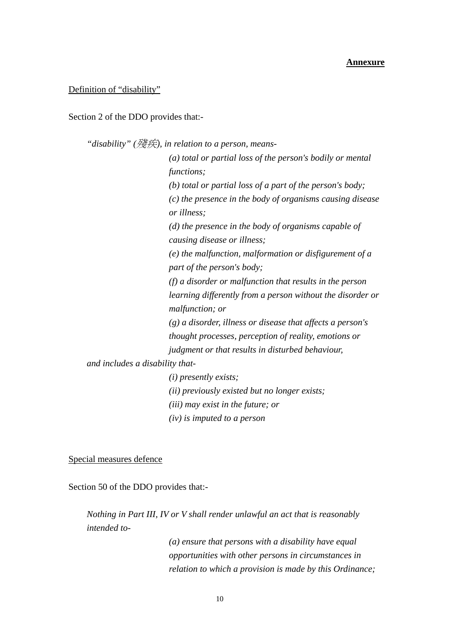#### **Annexure**

#### Definition of "disability"

Section 2 of the DDO provides that:-

*"disability" (*殘疾*), in relation to a person, means- (a) total or partial loss of the person's bodily or mental functions; (b) total or partial loss of a part of the person's body; (c) the presence in the body of organisms causing disease or illness; (d) the presence in the body of organisms capable of causing disease or illness; (e) the malfunction, malformation or disfigurement of a part of the person's body; (f) a disorder or malfunction that results in the person learning differently from a person without the disorder or malfunction; or (g) a disorder, illness or disease that affects a person's thought processes, perception of reality, emotions or judgment or that results in disturbed behaviour, and includes a disability that- (i) presently exists; (ii) previously existed but no longer exists;* 

*(iii) may exist in the future; or* 

*(iv) is imputed to a person*

#### Special measures defence

Section 50 of the DDO provides that:-

*Nothing in Part III, IV or V shall render unlawful an act that is reasonably intended to-* 

> *(a) ensure that persons with a disability have equal opportunities with other persons in circumstances in relation to which a provision is made by this Ordinance;*